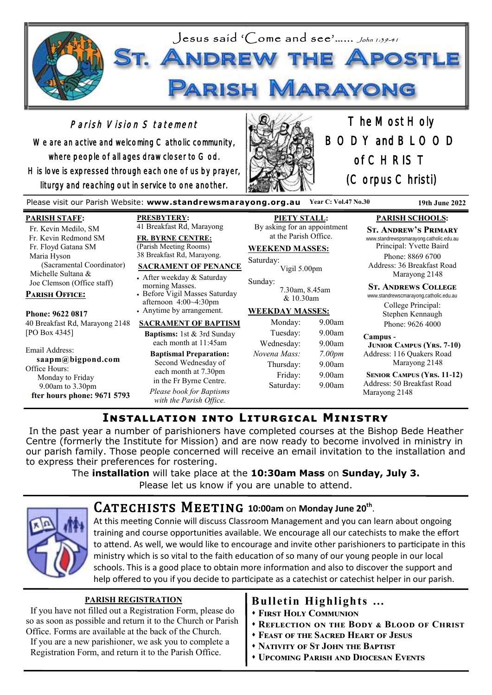

# Parish Vision Statement

We are an active and welcoming Catholic community, where people of all ages draw closer to God. His love is expressed through each one of us by prayer, liturgy and reaching out in service to one another.



The Most Holy BODY and BLOOD of CHRIST (Corpus Christi)

Please visit our Parish Website: **www.standrewsmarayong.org.au Year C: Vol.47 No.30 19th June 2022**

### **PARISH STAFF:**

 Fr. Kevin Medilo, SM Fr. Kevin Redmond SM Fr. Floyd Gatana SM Maria Hyson (Sacramental Coordinator) Michelle Sultana & Joe Clemson (Office staff)

## **Parish Office:**

**Phone: 9622 0817** 40 Breakfast Rd, Marayong 2148 [PO Box 4345]

Email Address: **saapm@bigpond.com** Office Hours: Monday to Friday 9.00am to 3.30pm **After hours phone: 9671 5793** **PRESBYTERY:** 41 Breakfast Rd, Marayong

**FR. BYRNE CENTRE:** (Parish Meeting Rooms) 38 Breakfast Rd, Marayong.

### **SACRAMENT OF PENANCE**

• After weekday & Saturday morning Masses. • Before Vigil Masses Saturday afternoon 4:00~4:30pm

• Anytime by arrangement.

#### **SACRAMENT OF BAPTISM**

**Baptisms:** 1st & 3rd Sunday each month at 11:45am

**Baptismal Preparation:** Second Wednesday of each month at 7.30pm in the Fr Byrne Centre. *Please book for Baptisms with the Parish Office.*

**PIETY STALL:** By asking for an appointment at the Parish Office.

## **WEEKEND MASSES:**

Saturday: Vigil 5.00pm

Sunday: 7.30am, 8.45am  $& 10.30$ am

## **WEEKDAY MASSES:**

| Monday:      | 9.00am             |
|--------------|--------------------|
| Tuesday:     | 9.00am             |
| Wednesday:   | 9.00am             |
| Novena Mass: | 7.00 <sub>pm</sub> |
| Thursday:    | 9.00am             |
| Friday:      | 9.00am             |
| Saturday:    | 9.00am             |
|              |                    |

# **PARISH SCHOOLS:**

**St. Andrew's Primary** www.standrewspsmarayong.catholic.edu.au

Principal: Yvette Baird Phone: 8869 6700 Address: 36 Breakfast Road Marayong 2148

#### **St. Andrews College**

www.standrewscmarayong.catholic.edu.au College Principal: Stephen Kennaugh Phone: 9626 4000

#### **Campus -**

 **Junior Campus (Yrs. 7-10)** Address: 116 Quakers Road Marayong 2148

 **Senior Campus (Yrs. 11-12)** Address: 50 Breakfast Road Marayong 2148

# **Installation into Liturgical Ministry**

In the past year a number of parishioners have completed courses at the Bishop Bede Heather Centre (formerly the Institute for Mission) and are now ready to become involved in ministry in our parish family. Those people concerned will receive an email invitation to the installation and to express their preferences for rostering.

The **installation** will take place at the **10:30am Mass** on **Sunday, July 3.** 

Please let us know if you are unable to attend.



# $CATECHISTS$  MEETING 10:00am on Monday June 20<sup>th</sup>.

At this meeting Connie will discuss Classroom Management and you can learn about ongoing training and course opportunities available. We encourage all our catechists to make the effort to attend. As well, we would like to encourage and invite other parishioners to participate in this ministry which is so vital to the faith education of so many of our young people in our local schools. This is a good place to obtain more information and also to discover the support and help offered to you if you decide to participate as a catechist or catechist helper in our parish.

## **PARISH REGISTRATION**

If you have not filled out a Registration Form, please do so as soon as possible and return it to the Church or Parish Office. Forms are available at the back of the Church.

 If you are a new parishioner, we ask you to complete a Registration Form, and return it to the Parish Office.

# **Bulletin Highlights …**

- ⬧ **First Holy Communion**
- ⬧ **Reflection on the Body & Blood of Christ**
- ⬧ **Feast of the Sacred Heart of Jesus**
- ⬧ **Nativity of St John the Baptist**
- ⬧ **Upcoming Parish and Diocesan Events**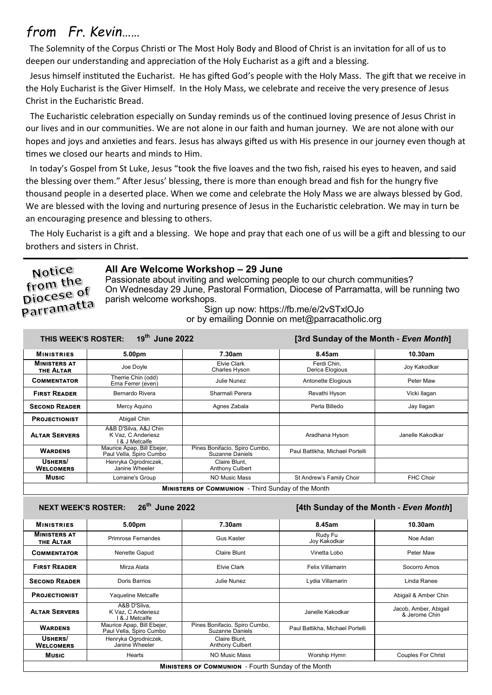# *from Fr. Kevin……*

The Solemnity of the Corpus Christi or The Most Holy Body and Blood of Christ is an invitation for all of us to deepen our understanding and appreciation of the Holy Eucharist as a gift and a blessing.

 Jesus himself instituted the Eucharist. He has gifted God's people with the Holy Mass. The gift that we receive in the Holy Eucharist is the Giver Himself. In the Holy Mass, we celebrate and receive the very presence of Jesus Christ in the Eucharistic Bread.

 The Eucharistic celebration especially on Sunday reminds us of the continued loving presence of Jesus Christ in our lives and in our communities. We are not alone in our faith and human journey. We are not alone with our hopes and joys and anxieties and fears. Jesus has always gifted us with His presence in our journey even though at times we closed our hearts and minds to Him.

 In today's Gospel from St Luke, Jesus "took the five loaves and the two fish, raised his eyes to heaven, and said the blessing over them." After Jesus' blessing, there is more than enough bread and fish for the hungry five thousand people in a deserted place. When we come and celebrate the Holy Mass we are always blessed by God. We are blessed with the loving and nurturing presence of Jesus in the Eucharistic celebration. We may in turn be an encouraging presence and blessing to others.

 The Holy Eucharist is a gift and a blessing. We hope and pray that each one of us will be a gift and blessing to our brothers and sisters in Christ.

# Notice from the piocese of **Diocese**<br>Parramatta

## **All Are Welcome Workshop – 29 June**

Passionate about inviting and welcoming people to our church communities? On Wednesday 29 June, Pastoral Formation, Diocese of Parramatta, will be running two parish welcome workshops.

Sign up now: https://fb.me/e/2vSTxlOJo or by emailing Donnie on met@parracatholic.org

| 19th June 2022<br>[3rd Sunday of the Month - Even Month]<br>THIS WEEK'S ROSTER: |                                                               |                                                         |                                 |                  |
|---------------------------------------------------------------------------------|---------------------------------------------------------------|---------------------------------------------------------|---------------------------------|------------------|
| <b>MINISTRIES</b>                                                               | 5.00pm                                                        | 7.30am                                                  | 8.45am                          | 10.30am          |
| <b>MINISTERS AT</b><br>THE ALTAR                                                | Joe Doyle                                                     | Elvie Clark<br>Charles Hyson                            | Ferdi Chin.<br>Derica Elogious  | Joy Kakodkar     |
| <b>COMMENTATOR</b>                                                              | Therrie Chin (odd)<br>Erna Ferrer (even)                      | Julie Nunez                                             | Antonette Elogious              | Peter Maw        |
| <b>FIRST READER</b>                                                             | Bernardo Rivera                                               | Sharmali Perera                                         | Revathi Hyson                   | Vicki llagan     |
| <b>SECOND READER</b>                                                            | Mercy Aquino                                                  | Agnes Zabala                                            | Perla Billedo                   | Jay Ilagan       |
| <b>PROJECTIONIST</b>                                                            | Abigail Chin                                                  |                                                         |                                 |                  |
| <b>ALTAR SERVERS</b>                                                            | A&B D'Silva, A&J Chin<br>K Vaz. C Anderiesz<br>l & J Metcalfe |                                                         | Aradhana Hyson                  | Janelle Kakodkar |
| <b>WARDENS</b>                                                                  | Maurice Apap, Bill Ebejer,<br>Paul Vella, Spiro Cumbo         | Pines Bonifacio, Spiro Cumbo,<br><b>Suzanne Daniels</b> | Paul Battikha, Michael Portelli |                  |
| USHERS/<br><b>WELCOMERS</b>                                                     | Henryka Ogrodniczek,<br>Janine Wheeler                        | Claire Blunt.<br><b>Anthony Culbert</b>                 |                                 |                  |
| <b>Music</b>                                                                    | Lorraine's Group                                              | NO Music Mass                                           | St Andrew's Family Choir        | <b>FHC Choir</b> |
| <b>MINISTERS OF COMMUNION</b> - Third Sunday of the Month                       |                                                               |                                                         |                                 |                  |

## **NEXT WEEK'S ROSTER: 26th June 2022 [4th Sunday of the Month -** *Even Month***]**

| <b>MINISTRIES</b>                                          | 5.00pm                                                | 7.30am                                           | 8.45am                          | 10.30am                                |
|------------------------------------------------------------|-------------------------------------------------------|--------------------------------------------------|---------------------------------|----------------------------------------|
| <b>MINISTERS AT</b><br>THE ALTAR                           | Primrose Fernandes                                    | Gus Kaster                                       | Rudy Fu<br>Joy Kakodkar         | Noe Adan                               |
| <b>COMMENTATOR</b>                                         | Nenette Gapud                                         | Claire Blunt                                     | Vinetta Lobo                    | Peter Maw                              |
| <b>FIRST READER</b>                                        | Mirza Alata                                           | <b>Elvie Clark</b>                               | Felix Villamarin                | Socorro Amos                           |
| <b>SECOND READER</b>                                       | Doris Barrios                                         | Julie Nunez                                      | Lydia Villamarin                | Linda Ranee                            |
| <b>PROJECTIONIST</b>                                       | Yaqueline Metcalfe                                    |                                                  |                                 | Abigail & Amber Chin                   |
| <b>ALTAR SERVERS</b>                                       | A&B D'Silva.<br>K Vaz, C Anderiesz<br>8 J Metcalfe    |                                                  | Janelle Kakodkar                | Jacob, Amber, Abigail<br>& Jerome Chin |
| <b>WARDENS</b>                                             | Maurice Apap, Bill Ebejer,<br>Paul Vella, Spiro Cumbo | Pines Bonifacio, Spiro Cumbo,<br>Suzanne Daniels | Paul Battikha, Michael Portelli |                                        |
| USHERS/<br><b>WELCOMERS</b>                                | Henryka Ogrodniczek,<br>Janine Wheeler                | Claire Blunt.<br><b>Anthony Culbert</b>          |                                 |                                        |
| <b>Music</b>                                               | Hearts                                                | NO Music Mass                                    | Worship Hymn                    | <b>Couples For Christ</b>              |
| <b>MINISTERS OF COMMUNION</b> - Fourth Sunday of the Month |                                                       |                                                  |                                 |                                        |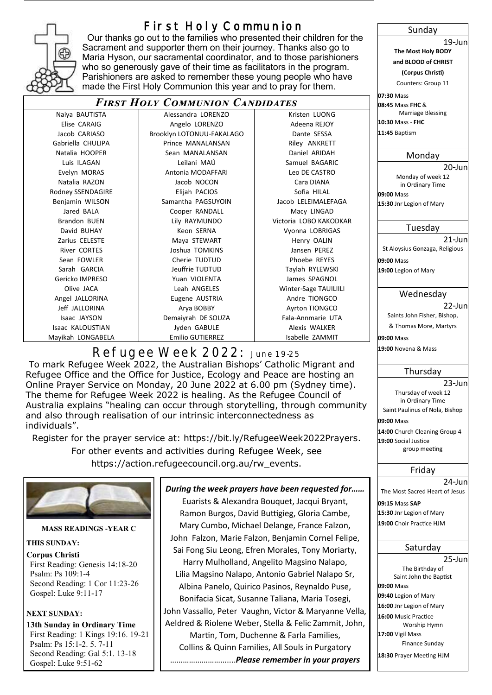

# **First Holy Communion**

 Our thanks go out to the families who presented their children for the Sacrament and supporter them on their journey. Thanks also go to Maria Hyson, our sacramental coordinator, and to those parishioners who so generously gave of their time as facilitators in the program. Parishioners are asked to remember these young people who have made the First Holy Communion this year and to pray for them.

## *First Holy Communion Candidates*

| Naiya BAUTISTA      | Alessandra LORENZO        | Kristen LUON      |
|---------------------|---------------------------|-------------------|
| Elise CARAIG        | Angelo LORENZO            | Adeena REJO'      |
| Jacob CARIASO       | Brooklyn LOTONUU-FAKALAGO | Dante SESSA       |
| Gabriella CHULIPA   | Prince MANALANSAN         | Riley ANKRET      |
| Natalia HOOPER      | Sean MANALANSAN           | Daniel ARIDA      |
| Luis ILAGAN         | Leilani MAÚ               | Samuel BAGAF      |
| Evelyn MORAS        | Antonia MODAFFARI         | Leo DE CASTR      |
| Natalia RAZON       | Jacob NOCON               | Cara DIANA        |
| Rodney SSENDAGIRE   | Elijah PACIOS             | Sofia HILAL       |
| Benjamin WILSON     | Samantha PAGSUYOIN        | Jacob LELEIMALEI  |
| Jared BALA          | Cooper RANDALL            | Macy LINGAD       |
| Brandon BUEN        | Lily RAYMUNDO             | Victoria LOBO KAK |
| David BUHAY         | Keon SERNA                | Vyonna LOBRIG     |
| Zarius CELESTE      | Maya STEWART              | Henry OALIN       |
| <b>River CORTES</b> | Joshua TOMKINS            | Jansen PEREZ      |
| Sean FOWLER         | Cherie TUDTUD             | Phoebe REYE       |
| Sarah GARCIA        | Jeuffrie TUDTUD           | Taylah RYLEWS     |
| Gericko IMPRESO     | Yuan VIOLENTA             | James SPAGN       |
| Olive JACA          | Leah ANGELES              | Winter-Sage TAU   |
| Angel JALLORINA     | Eugene AUSTRIA            | Andre TIONGC      |
| Jeff JALLORINA      | Arya BOBBY                | Ayrton TIONGO     |
| Isaac JAYSON        | Demaiyrah DE SOUZA        | Fala-Annmarie l   |
| Isaac KALOUSTIAN    | Jyden GABULE              | Alexis WALKE      |
| Mayikah LONGABELA   | <b>Emilio GUTIERREZ</b>   | Isabelle ZAMN     |

| Alessandra LORENZO      |  |
|-------------------------|--|
| Angelo LORENZO          |  |
| ooklyn LOTONUU-FAKALAGO |  |
| Prince MANALANSAN       |  |
| Sean MANALANSAN         |  |
| Leilani MAÚ             |  |
| Antonia MODAFFARI       |  |
| Jacob NOCON             |  |
| Elijah PACIOS           |  |
| Samantha PAGSUYOIN      |  |
| Cooper RANDALL          |  |
| Lily RAYMUNDO           |  |
| Keon SERNA              |  |
| Maya STEWART            |  |
| Joshua TOMKINS          |  |
| Cherie TUDTUD           |  |
| Jeuffrie TUDTUD         |  |
| Yuan VIOLENTA           |  |
| Leah ANGELES            |  |
| Eugene AUSTRIA          |  |
| Arya BOBBY              |  |
| Demaiyrah DE SOUZA      |  |
| Jyden GABULE            |  |
|                         |  |

Kristen LUONG Adeena REJOY Riley ANKRETT Daniel ARIDAH Samuel BAGARIC Leo DE CASTRO Sofia HILAL Jacob LELEIMALEFAGA Macy LINGAD Victoria LOBO KAKODKAR Vyonna LOBRIGAS Henry OALIN Jansen PEREZ Phoebe REYES Taylah RYLEWSKI James SPAGNOL **Winter-Sage TAUILIILI** Andre TIONGCO Ayrton TIONGCO Fala-Annmarie UTA Alexis WALKER milio GUTIERREZ **International Emilio GUTIERREZ** in Long and Isabelle ZAMMIT

# **Refugee Week 2022: June 19-25**

To mark Refugee Week 2022, the Australian Bishops' Catholic Migrant and Refugee Office and the Office for Justice, Ecology and Peace are hosting an Online Prayer Service on Monday, 20 June 2022 at 6.00 pm (Sydney time). The theme for Refugee Week 2022 is healing. As the Refugee Council of Australia explains "healing can occur through storytelling, through community and also through realisation of our intrinsic interconnectedness as individuals".

Register for the prayer service at: https://bit.ly/RefugeeWeek2022Prayers. For other events and activities during Refugee Week, see https://action.refugeecouncil.org.au/rw\_events.



First Reading: Genesis 14:18-20 Psalm: Ps 109:1-4 Second Reading: 1 Cor 11:23-26 Gospel: Luke 9:11-17

## **NEXT SUNDAY:**

**13th Sunday in Ordinary Time** First Reading: 1 Kings 19:16. 19-21 Psalm: Ps 15:1-2. 5. 7-11 Second Reading: Gal 5:1. 13-18 Gospel: Luke 9:51-62

*During the week prayers have been requested for……*

Euarists & Alexandra Bouquet, Jacqui Bryant, Ramon Burgos, David Buttigieg, Gloria Cambe, Mary Cumbo, Michael Delange, France Falzon, John Falzon, Marie Falzon, Benjamin Cornel Felipe, Sai Fong Siu Leong, Efren Morales, Tony Moriarty, Harry Mulholland, Angelito Magsino Nalapo, Lilia Magsino Nalapo, Antonio Gabriel Nalapo Sr, Albina Panelo, Quirico Pasinos, Reynaldo Puse, Bonifacia Sicat, Susanne Taliana, Maria Tosegi, John Vassallo, Peter Vaughn, Victor & Maryanne Vella, Aeldred & Riolene Weber, Stella & Felic Zammit, John, Martin, Tom, Duchenne & Farla Families, Collins & Quinn Families, All Souls in Purgatory ………………………....*Please remember in your prayers*

#### Sunday

19-Jun **The Most Holy BODY and BLOOD of CHRIST**

**(Corpus Christi)**

Counters: Group 11 **07:30** Mass

**08:45** Mass **FHC** & Marriage Blessing **10:30** Mass - **FHC**

**11:45** Baptism

### Monday

20-Jun Monday of week 12 in Ordinary Time

**09:00** Mass **15:30** Jnr Legion of Mary

### Tuesday

21-Jun St Aloysius Gonzaga, Religious

**09:00** Mass

**19:00** Legion of Mary

## Wednesday

22-Jun

Saints John Fisher, Bishop, & Thomas More, Martyrs

**09:00** Mass

**19:00** Novena & Mass

## Thursday

#### 23-Jun Thursday of week 12 in Ordinary Time

Saint Paulinus of Nola, Bishop **09:00** Mass **14:00** Church Cleaning Group 4 **19:00** Social Justice group meeting

## Friday

24-Jun The Most Sacred Heart of Jesus **09:15** Mass **SAP 15:30** Jnr Legion of Mary **19:00** Choir Practice HJM

## Saturday

25-Jun The Birthday of Saint John the Baptist **09:00** Mass **09:40** Legion of Mary **16:00** Jnr Legion of Mary **16:00** Music Practice Worship Hymn **17:00** Vigil Mass Finance Sunday **18:30** Prayer Meeting HJM